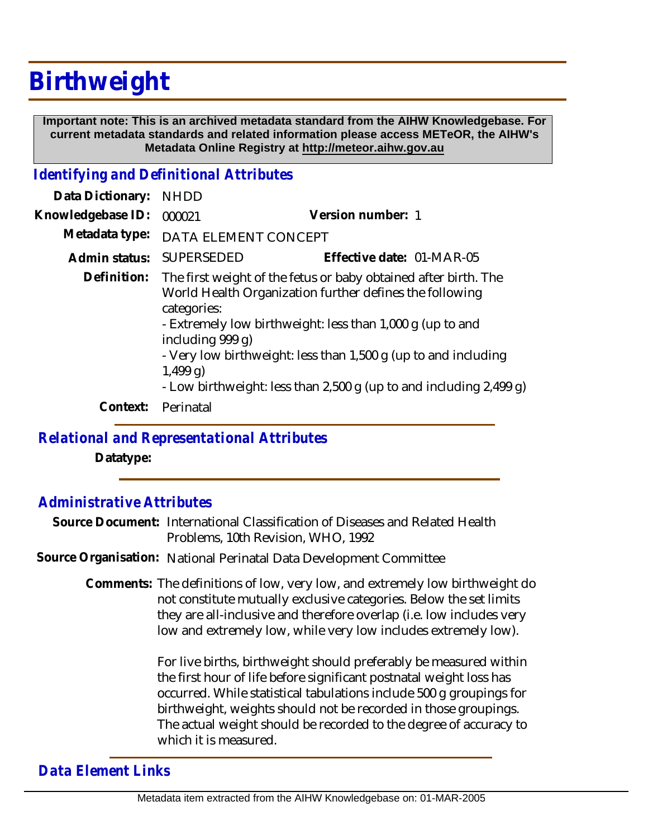# **Birthweight**

 **Important note: This is an archived metadata standard from the AIHW Knowledgebase. For current metadata standards and related information please access METeOR, the AIHW's Metadata Online Registry at http://meteor.aihw.gov.au**

#### *Identifying and Definitional Attributes*

| Data Dictionary:  | <b>NHDD</b>                                                                                                                                                                                                                                                                                                                                                                      |                           |
|-------------------|----------------------------------------------------------------------------------------------------------------------------------------------------------------------------------------------------------------------------------------------------------------------------------------------------------------------------------------------------------------------------------|---------------------------|
| Knowledgebase ID: | 000021                                                                                                                                                                                                                                                                                                                                                                           | Version number: 1         |
| Metadata type:    | DATA ELEMENT CONCEPT                                                                                                                                                                                                                                                                                                                                                             |                           |
| Admin status:     | <b>SUPERSEDED</b>                                                                                                                                                                                                                                                                                                                                                                | Effective date: 01-MAR-05 |
| Definition:       | The first weight of the fetus or baby obtained after birth. The<br>World Health Organization further defines the following<br>categories:<br>- Extremely low birthweight: less than 1,000 q (up to and<br>including 999 g)<br>- Very low birthweight: less than 1,500 g (up to and including<br>$1,499$ g)<br>- Low birthweight: less than 2,500 g (up to and including 2,499 g) |                           |
| Context:          | Perinatal                                                                                                                                                                                                                                                                                                                                                                        |                           |
|                   |                                                                                                                                                                                                                                                                                                                                                                                  |                           |

#### *Relational and Representational Attributes*

**Datatype:**

### *Administrative Attributes*

Source Document: International Classification of Diseases and Related Health Problems, 10th Revision, WHO, 1992

**Source Organisation:** National Perinatal Data Development Committee

Comments: The definitions of low, very low, and extremely low birthweight do not constitute mutually exclusive categories. Below the set limits they are all-inclusive and therefore overlap (i.e. low includes very low and extremely low, while very low includes extremely low).

> For live births, birthweight should preferably be measured within the first hour of life before significant postnatal weight loss has occurred. While statistical tabulations include 500 g groupings for birthweight, weights should not be recorded in those groupings. The actual weight should be recorded to the degree of accuracy to which it is measured.

## *Data Element Links*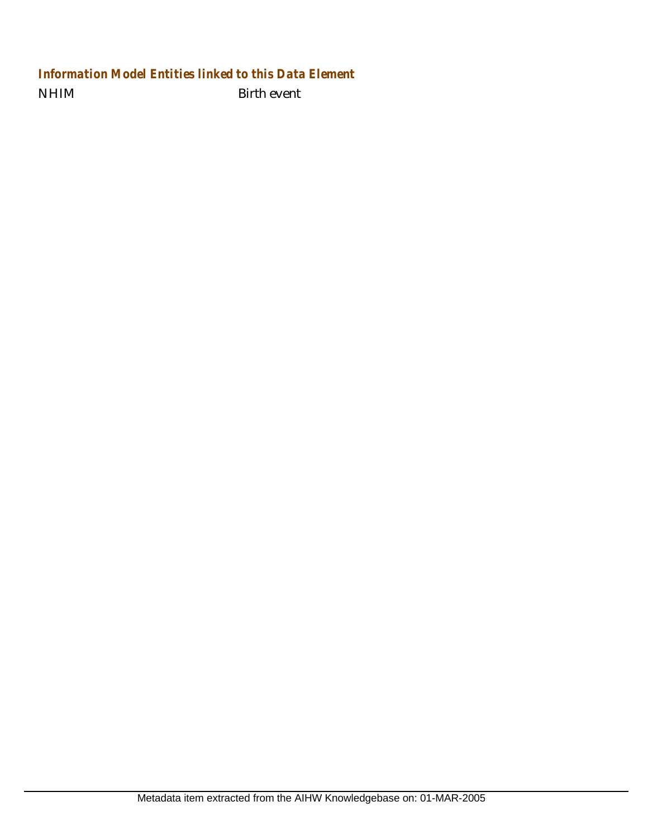## NHIM Birth event *Information Model Entities linked to this Data Element*